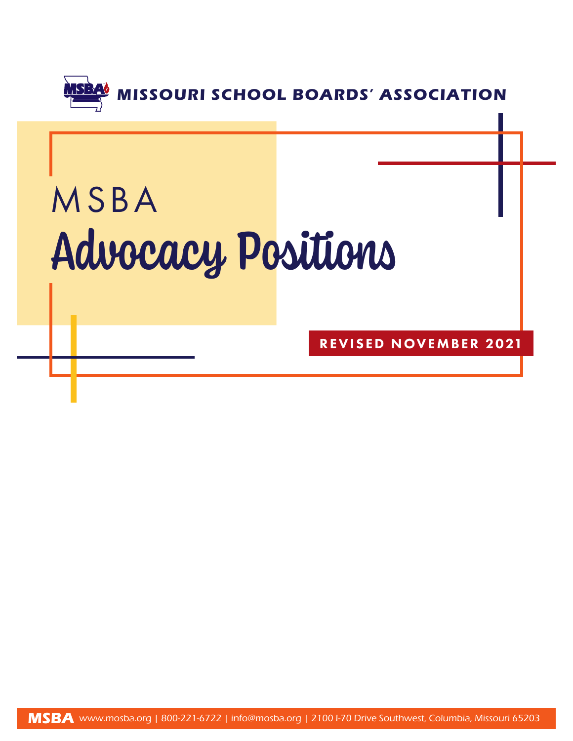

# MSBA Advocacy Positions

REVISED NOVEMBER 2021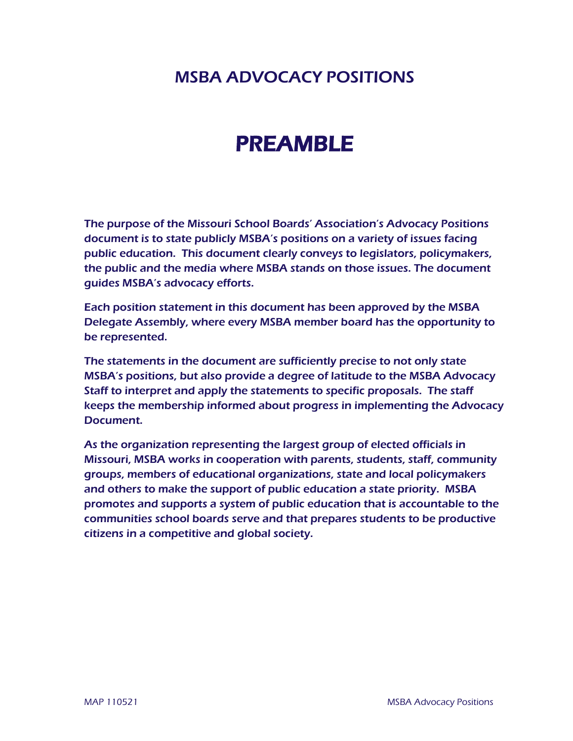# MSBA ADVOCACY POSITIONS

# PREAMBLE

The purpose of the Missouri School Boards' Association's Advocacy Positions document is to state publicly MSBA's positions on a variety of issues facing public education. This document clearly conveys to legislators, policymakers, the public and the media where MSBA stands on those issues. The document guides MSBA's advocacy efforts.

Each position statement in this document has been approved by the MSBA Delegate Assembly, where every MSBA member board has the opportunity to be represented.

The statements in the document are sufficiently precise to not only state MSBA's positions, but also provide a degree of latitude to the MSBA Advocacy Staff to interpret and apply the statements to specific proposals. The staff keeps the membership informed about progress in implementing the Advocacy Document.

As the organization representing the largest group of elected officials in Missouri, MSBA works in cooperation with parents, students, staff, community groups, members of educational organizations, state and local policymakers and others to make the support of public education a state priority. MSBA promotes and supports a system of public education that is accountable to the communities school boards serve and that prepares students to be productive citizens in a competitive and global society.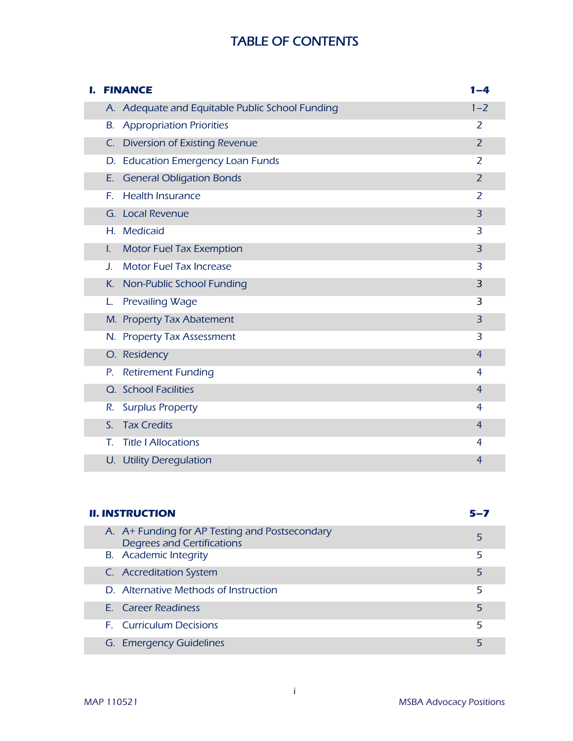| ı. |    | <b>FINANCE</b>                                  | 1—4            |
|----|----|-------------------------------------------------|----------------|
|    |    | A. Adequate and Equitable Public School Funding | $1 - 2$        |
|    | В. | <b>Appropriation Priorities</b>                 | 2              |
|    |    | C. Diversion of Existing Revenue                | $\overline{2}$ |
|    | D. | <b>Education Emergency Loan Funds</b>           | 2              |
|    | Е. | <b>General Obligation Bonds</b>                 | $\overline{2}$ |
|    | F. | <b>Health Insurance</b>                         | $\overline{2}$ |
|    |    | G. Local Revenue                                | 3              |
|    |    | H. Medicaid                                     | 3              |
|    | I. | <b>Motor Fuel Tax Exemption</b>                 | 3              |
|    | J. | <b>Motor Fuel Tax Increase</b>                  | 3              |
|    | К. | Non-Public School Funding                       | 3              |
|    | L. | Prevailing Wage                                 | 3              |
|    |    | M. Property Tax Abatement                       | 3              |
|    |    | N. Property Tax Assessment                      | 3              |
|    |    | O. Residency                                    | $\overline{4}$ |
|    | P. | <b>Retirement Funding</b>                       | 4              |
|    |    | Q. School Facilities                            | 4              |
|    | R. | <b>Surplus Property</b>                         | 4              |
|    | S. | <b>Tax Credits</b>                              | $\overline{4}$ |
|    | Τ. | <b>Title   Allocations</b>                      | 4              |
|    |    | U. Utility Deregulation                         | 4              |

| <b>II. INSTRUCTION</b>                                                               | 5—7 |
|--------------------------------------------------------------------------------------|-----|
| A. A + Funding for AP Testing and Postsecondary<br><b>Degrees and Certifications</b> | 5   |
| <b>B.</b> Academic Integrity                                                         | 5   |
| C. Accreditation System                                                              | 5   |
| D. Alternative Methods of Instruction                                                | 5   |
| <b>F.</b> Career Readiness                                                           | 5   |
| <b>F.</b> Curriculum Decisions                                                       | 5   |
| G. Emergency Guidelines                                                              | 5   |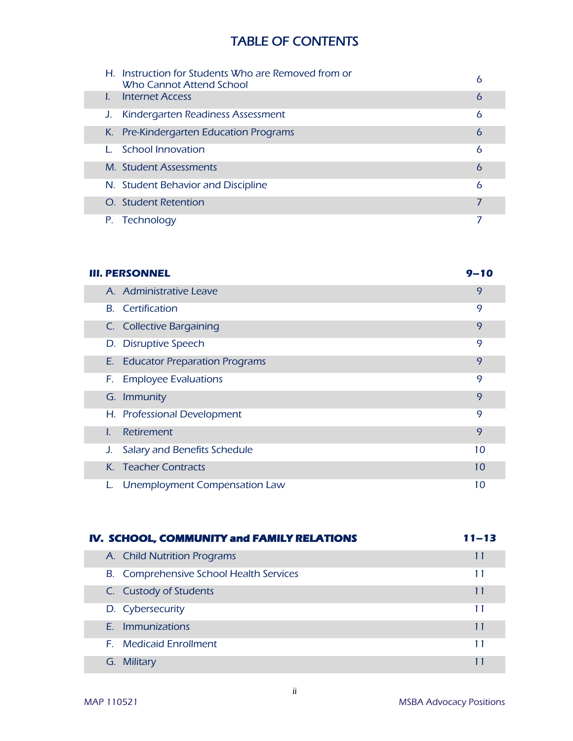| H. Instruction for Students Who are Removed from or<br>Who Cannot Attend School | 6 |
|---------------------------------------------------------------------------------|---|
| <b>Internet Access</b>                                                          | 6 |
| Kindergarten Readiness Assessment<br>J.                                         | 6 |
| K. Pre-Kindergarten Education Programs                                          | 6 |
| <b>School Innovation</b>                                                        | 6 |
| M. Student Assessments                                                          | 6 |
| N. Student Behavior and Discipline                                              | 6 |
| O. Student Retention                                                            |   |
| Technology<br>P.                                                                |   |

| <b>III. PERSONNEL</b>              |    |
|------------------------------------|----|
| A. Administrative Leave            | 9  |
| <b>B.</b> Certification            | 9  |
| C. Collective Bargaining           | 9  |
| D. Disruptive Speech               | 9  |
| E. Educator Preparation Programs   | 9  |
| <b>Employee Evaluations</b><br>F.  | 9  |
| G. Immunity                        | 9  |
| H. Professional Development        | 9  |
| Retirement<br>L                    | 9  |
| Salary and Benefits Schedule<br>J. | 10 |
| K. Teacher Contracts               | 10 |
| Unemployment Compensation Law      | 10 |

| IV. SCHOOL, COMMUNITY and FAMILY RELATIONS | $11 - 13$ |
|--------------------------------------------|-----------|
| A. Child Nutrition Programs                | 11        |
| B. Comprehensive School Health Services    | 11        |
| C. Custody of Students                     | 11        |
| D. Cybersecurity                           | 11        |
| E. Immunizations                           | 11        |
| F. Medicaid Enrollment                     | 11        |
| G. Military                                | 11        |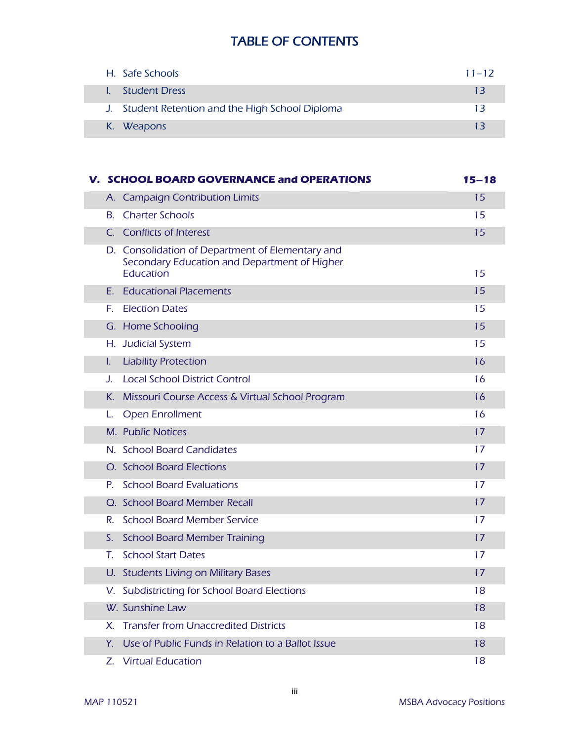| H. Safe Schools                                  | $11 - 12$ |
|--------------------------------------------------|-----------|
| <b>Student Dress</b>                             | 13        |
| J. Student Retention and the High School Diploma | 13        |
| K. Weapons                                       | 13        |

|    | <b>V. SCHOOL BOARD GOVERNANCE and OPERATIONS</b>                                                                 | $15 - 18$ |
|----|------------------------------------------------------------------------------------------------------------------|-----------|
|    | <b>Campaign Contribution Limits</b><br>A.                                                                        | 15        |
| В. | <b>Charter Schools</b>                                                                                           | 15        |
|    | <b>Conflicts of Interest</b><br>C.                                                                               | 15        |
|    | Consolidation of Department of Elementary and<br>D.<br>Secondary Education and Department of Higher<br>Education | 15        |
| Е. | <b>Educational Placements</b>                                                                                    | 15        |
| E. | <b>Election Dates</b>                                                                                            | 15        |
|    | G. Home Schooling                                                                                                | 15        |
|    | H. Judicial System                                                                                               | 15        |
| L. | <b>Liability Protection</b>                                                                                      | 16        |
| J. | <b>Local School District Control</b>                                                                             | 16        |
| К. | Missouri Course Access & Virtual School Program                                                                  | 16        |
| L. | <b>Open Enrollment</b>                                                                                           | 16        |
|    | M. Public Notices                                                                                                | 17        |
|    | N. School Board Candidates                                                                                       | 17        |
|    | O. School Board Elections                                                                                        | 17        |
| P. | <b>School Board Evaluations</b>                                                                                  | 17        |
|    | Q. School Board Member Recall                                                                                    | 17        |
| R. | <b>School Board Member Service</b>                                                                               | 17        |
| S. | <b>School Board Member Training</b>                                                                              | 17        |
| Т. | <b>School Start Dates</b>                                                                                        | 17        |
|    | U. Students Living on Military Bases                                                                             | 17        |
|    | V. Subdistricting for School Board Elections                                                                     | 18        |
|    | W. Sunshine Law                                                                                                  | 18        |
| X. | <b>Transfer from Unaccredited Districts</b>                                                                      | 18        |
| Υ. | Use of Public Funds in Relation to a Ballot Issue                                                                | 18        |
| Z. | <b>Virtual Education</b>                                                                                         | 18        |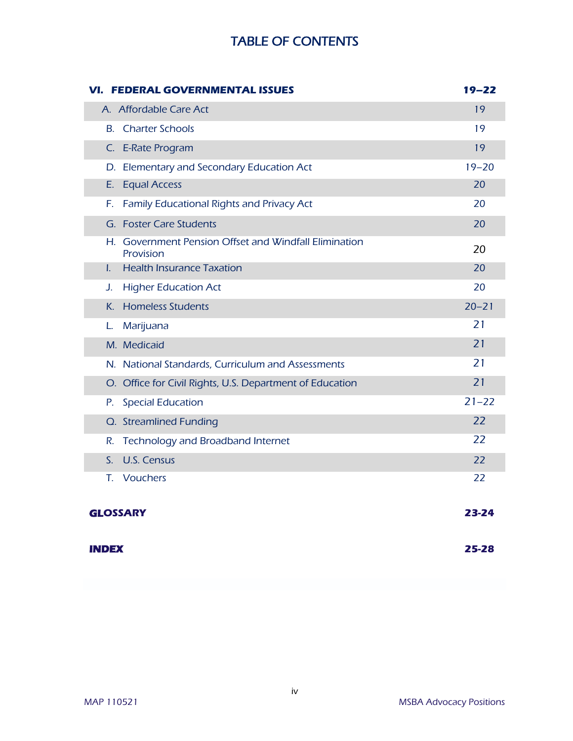| <b>VI. FEDERAL GOVERNMENTAL ISSUES</b>                             | $19 - 22$ |
|--------------------------------------------------------------------|-----------|
| A. Affordable Care Act                                             | 19        |
| <b>B.</b> Charter Schools                                          | 19        |
| C. E-Rate Program                                                  | 19        |
| D. Elementary and Secondary Education Act                          | $19 - 20$ |
| <b>Equal Access</b><br>Е.                                          | 20        |
| Family Educational Rights and Privacy Act<br>F.                    | 20        |
| G. Foster Care Students                                            | 20        |
| H. Government Pension Offset and Windfall Elimination<br>Provision | 20        |
| <b>Health Insurance Taxation</b><br>L.                             | 20        |
| <b>Higher Education Act</b><br>J.                                  | 20        |
| <b>Homeless Students</b><br>К.                                     | $20 - 21$ |
| Marijuana<br>L.                                                    | 21        |
| M. Medicaid                                                        | 21        |
| N. National Standards, Curriculum and Assessments                  | 21        |
| O. Office for Civil Rights, U.S. Department of Education           | 21        |
| <b>Special Education</b><br>P.                                     | $21 - 22$ |
| Q. Streamlined Funding                                             | 22        |
| Technology and Broadband Internet<br>R.                            | 22        |
| <b>U.S. Census</b><br>S.                                           | 22        |
| Vouchers<br>Т.                                                     | 22        |
| <b>GLOSSARY</b>                                                    |           |
| <b>INDEX</b>                                                       | 25-28     |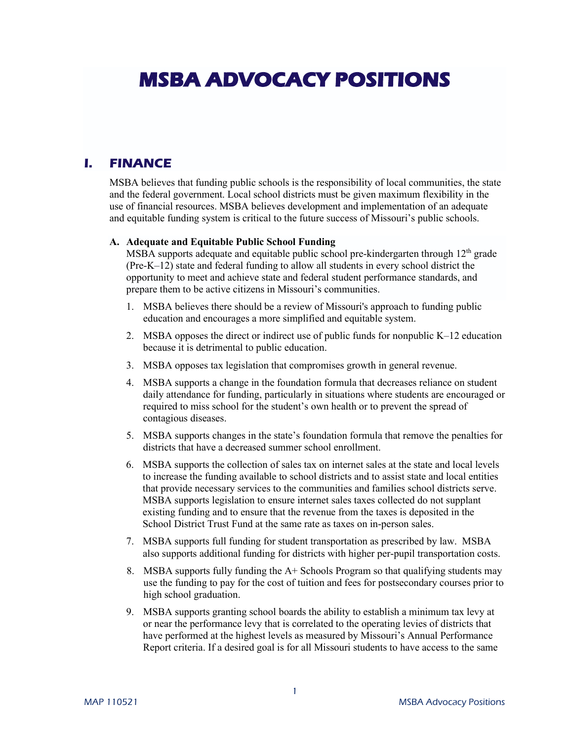# **MSBA ADVOCACY POSITIONS**

# **I. FINANCE**

MSBA believes that funding public schools is the responsibility of local communities, the state and the federal government. Local school districts must be given maximum flexibility in the use of financial resources. MSBA believes development and implementation of an adequate and equitable funding system is critical to the future success of Missouri's public schools.

#### **A. Adequate and Equitable Public School Funding**

MSBA supports adequate and equitable public school pre-kindergarten through  $12<sup>th</sup>$  grade (Pre-K–12) state and federal funding to allow all students in every school district the opportunity to meet and achieve state and federal student performance standards, and prepare them to be active citizens in Missouri's communities.

- 1. MSBA believes there should be a review of Missouri's approach to funding public education and encourages a more simplified and equitable system.
- 2. MSBA opposes the direct or indirect use of public funds for nonpublic K–12 education because it is detrimental to public education.
- 3. MSBA opposes tax legislation that compromises growth in general revenue.
- 4. MSBA supports a change in the foundation formula that decreases reliance on student daily attendance for funding, particularly in situations where students are encouraged or required to miss school for the student's own health or to prevent the spread of contagious diseases.
- 5. MSBA supports changes in the state's foundation formula that remove the penalties for districts that have a decreased summer school enrollment.
- 6. MSBA supports the collection of sales tax on internet sales at the state and local levels to increase the funding available to school districts and to assist state and local entities that provide necessary services to the communities and families school districts serve. MSBA supports legislation to ensure internet sales taxes collected do not supplant existing funding and to ensure that the revenue from the taxes is deposited in the School District Trust Fund at the same rate as taxes on in-person sales.
- 7. MSBA supports full funding for student transportation as prescribed by law. MSBA also supports additional funding for districts with higher per-pupil transportation costs.
- 8. MSBA supports fully funding the A+ Schools Program so that qualifying students may use the funding to pay for the cost of tuition and fees for postsecondary courses prior to high school graduation.
- 9. MSBA supports granting school boards the ability to establish a minimum tax levy at or near the performance levy that is correlated to the operating levies of districts that have performed at the highest levels as measured by Missouri's Annual Performance Report criteria. If a desired goal is for all Missouri students to have access to the same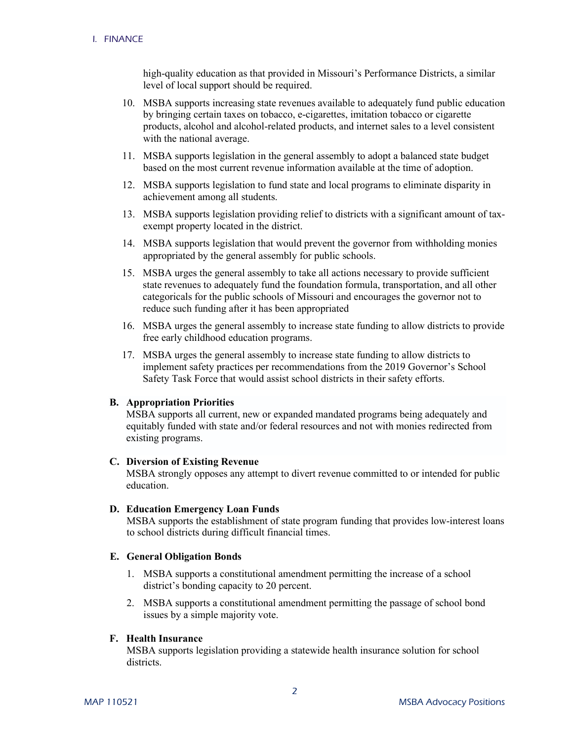high-quality education as that provided in Missouri's Performance Districts, a similar level of local support should be required.

- 10. MSBA supports increasing state revenues available to adequately fund public education by bringing certain taxes on tobacco, e-cigarettes, imitation tobacco or cigarette products, alcohol and alcohol-related products, and internet sales to a level consistent with the national average.
- 11. MSBA supports legislation in the general assembly to adopt a balanced state budget based on the most current revenue information available at the time of adoption.
- 12. MSBA supports legislation to fund state and local programs to eliminate disparity in achievement among all students.
- 13. MSBA supports legislation providing relief to districts with a significant amount of taxexempt property located in the district.
- 14. MSBA supports legislation that would prevent the governor from withholding monies appropriated by the general assembly for public schools.
- 15. MSBA urges the general assembly to take all actions necessary to provide sufficient state revenues to adequately fund the foundation formula, transportation, and all other categoricals for the public schools of Missouri and encourages the governor not to reduce such funding after it has been appropriated
- 16. MSBA urges the general assembly to increase state funding to allow districts to provide free early childhood education programs.
- 17. MSBA urges the general assembly to increase state funding to allow districts to implement safety practices per recommendations from the 2019 Governor's School Safety Task Force that would assist school districts in their safety efforts.

#### **B. Appropriation Priorities**

MSBA supports all current, new or expanded mandated programs being adequately and equitably funded with state and/or federal resources and not with monies redirected from existing programs.

#### **C. Diversion of Existing Revenue**

MSBA strongly opposes any attempt to divert revenue committed to or intended for public education.

#### **D. Education Emergency Loan Funds**

MSBA supports the establishment of state program funding that provides low-interest loans to school districts during difficult financial times.

#### **E. General Obligation Bonds**

- 1. MSBA supports a constitutional amendment permitting the increase of a school district's bonding capacity to 20 percent.
- 2. MSBA supports a constitutional amendment permitting the passage of school bond issues by a simple majority vote.

#### **F. Health Insurance**

MSBA supports legislation providing a statewide health insurance solution for school districts.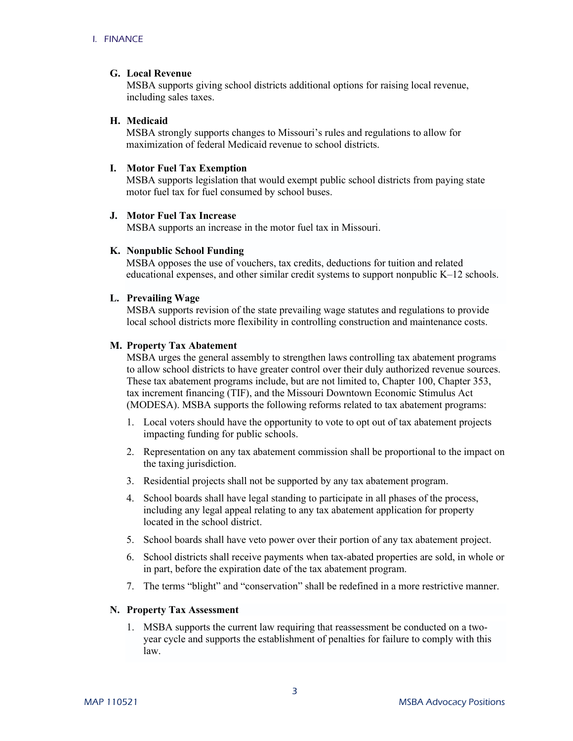#### **G. Local Revenue**

MSBA supports giving school districts additional options for raising local revenue, including sales taxes.

#### **H. Medicaid**

MSBA strongly supports changes to Missouri's rules and regulations to allow for maximization of federal Medicaid revenue to school districts.

#### **I. Motor Fuel Tax Exemption**

MSBA supports legislation that would exempt public school districts from paying state motor fuel tax for fuel consumed by school buses.

#### **J. Motor Fuel Tax Increase**

MSBA supports an increase in the motor fuel tax in Missouri.

#### **K. Nonpublic School Funding**

MSBA opposes the use of vouchers, tax credits, deductions for tuition and related educational expenses, and other similar credit systems to support nonpublic K–12 schools.

#### **L. Prevailing Wage**

MSBA supports revision of the state prevailing wage statutes and regulations to provide local school districts more flexibility in controlling construction and maintenance costs.

#### **M. Property Tax Abatement**

MSBA urges the general assembly to strengthen laws controlling tax abatement programs to allow school districts to have greater control over their duly authorized revenue sources. These tax abatement programs include, but are not limited to, Chapter 100, Chapter 353, tax increment financing (TIF), and the Missouri Downtown Economic Stimulus Act (MODESA). MSBA supports the following reforms related to tax abatement programs:

- 1. Local voters should have the opportunity to vote to opt out of tax abatement projects impacting funding for public schools.
- 2. Representation on any tax abatement commission shall be proportional to the impact on the taxing jurisdiction.
- 3. Residential projects shall not be supported by any tax abatement program.
- 4. School boards shall have legal standing to participate in all phases of the process, including any legal appeal relating to any tax abatement application for property located in the school district.
- 5. School boards shall have veto power over their portion of any tax abatement project.
- 6. School districts shall receive payments when tax-abated properties are sold, in whole or in part, before the expiration date of the tax abatement program.
- 7. The terms "blight" and "conservation" shall be redefined in a more restrictive manner.

#### **N. Property Tax Assessment**

1. MSBA supports the current law requiring that reassessment be conducted on a twoyear cycle and supports the establishment of penalties for failure to comply with this law.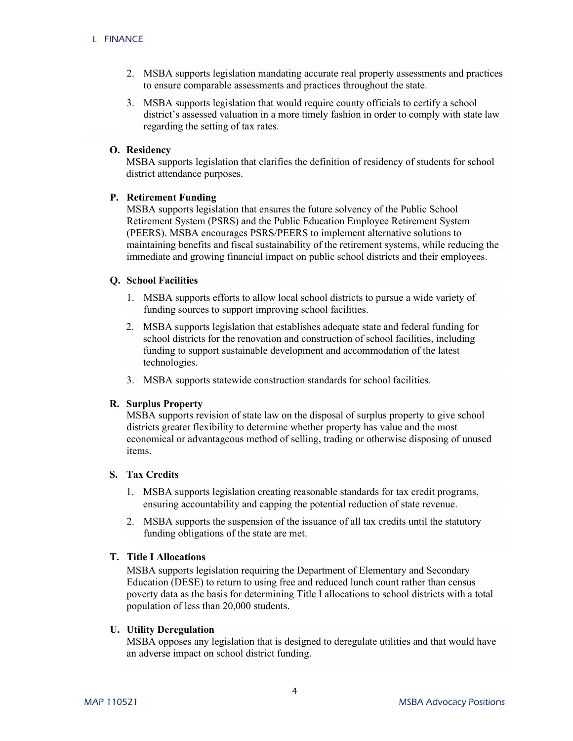- 2. MSBA supports legislation mandating accurate real property assessments and practices to ensure comparable assessments and practices throughout the state.
- 3. MSBA supports legislation that would require county officials to certify a school district's assessed valuation in a more timely fashion in order to comply with state law regarding the setting of tax rates.

#### **O. Residency**

MSBA supports legislation that clarifies the definition of residency of students for school district attendance purposes.

#### **P. Retirement Funding**

MSBA supports legislation that ensures the future solvency of the Public School Retirement System (PSRS) and the Public Education Employee Retirement System (PEERS). MSBA encourages PSRS/PEERS to implement alternative solutions to maintaining benefits and fiscal sustainability of the retirement systems, while reducing the immediate and growing financial impact on public school districts and their employees.

#### **Q. School Facilities**

- 1. MSBA supports efforts to allow local school districts to pursue a wide variety of funding sources to support improving school facilities.
- 2. MSBA supports legislation that establishes adequate state and federal funding for school districts for the renovation and construction of school facilities, including funding to support sustainable development and accommodation of the latest technologies.
- 3. MSBA supports statewide construction standards for school facilities.

#### **R. Surplus Property**

MSBA supports revision of state law on the disposal of surplus property to give school districts greater flexibility to determine whether property has value and the most economical or advantageous method of selling, trading or otherwise disposing of unused items.

#### **S. Tax Credits**

- 1. MSBA supports legislation creating reasonable standards for tax credit programs, ensuring accountability and capping the potential reduction of state revenue.
- 2. MSBA supports the suspension of the issuance of all tax credits until the statutory funding obligations of the state are met.

#### **T. Title I Allocations**

MSBA supports legislation requiring the Department of Elementary and Secondary Education (DESE) to return to using free and reduced lunch count rather than census poverty data as the basis for determining Title I allocations to school districts with a total population of less than 20,000 students.

#### **U. Utility Deregulation**

MSBA opposes any legislation that is designed to deregulate utilities and that would have an adverse impact on school district funding.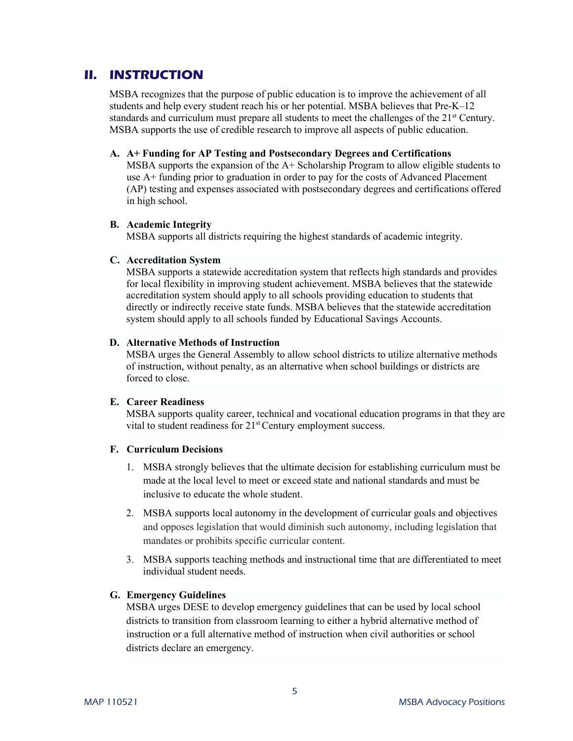# **II. INSTRUCTION**

MSBA recognizes that the purpose of public education is to improve the achievement of all students and help every student reach his or her potential. MSBA believes that Pre-K–12 standards and curriculum must prepare all students to meet the challenges of the 21<sup>st</sup> Century. MSBA supports the use of credible research to improve all aspects of public education.

#### **A. A+ Funding for AP Testing and Postsecondary Degrees and Certifications**

MSBA supports the expansion of the A+ Scholarship Program to allow eligible students to use A+ funding prior to graduation in order to pay for the costs of Advanced Placement (AP) testing and expenses associated with postsecondary degrees and certifications offered in high school.

#### **B. Academic Integrity**

MSBA supports all districts requiring the highest standards of academic integrity.

#### **C. Accreditation System**

MSBA supports a statewide accreditation system that reflects high standards and provides for local flexibility in improving student achievement. MSBA believes that the statewide accreditation system should apply to all schools providing education to students that directly or indirectly receive state funds. MSBA believes that the statewide accreditation system should apply to all schools funded by Educational Savings Accounts.

#### **D. Alternative Methods of Instruction**

MSBA urges the General Assembly to allow school districts to utilize alternative methods of instruction, without penalty, as an alternative when school buildings or districts are forced to close.

#### **E. Career Readiness**

MSBA supports quality career, technical and vocational education programs in that they are vital to student readiness for  $21<sup>st</sup>$  Century employment success.

#### **F. Curriculum Decisions**

- 1. MSBA strongly believes that the ultimate decision for establishing curriculum must be made at the local level to meet or exceed state and national standards and must be inclusive to educate the whole student.
- 2. MSBA supports local autonomy in the development of curricular goals and objectives and opposes legislation that would diminish such autonomy, including legislation that mandates or prohibits specific curricular content.
- 3. MSBA supports teaching methods and instructional time that are differentiated to meet individual student needs.

#### **G. Emergency Guidelines**

MSBA urges DESE to develop emergency guidelines that can be used by local school districts to transition from classroom learning to either a hybrid alternative method of instruction or a full alternative method of instruction when civil authorities or school districts declare an emergency.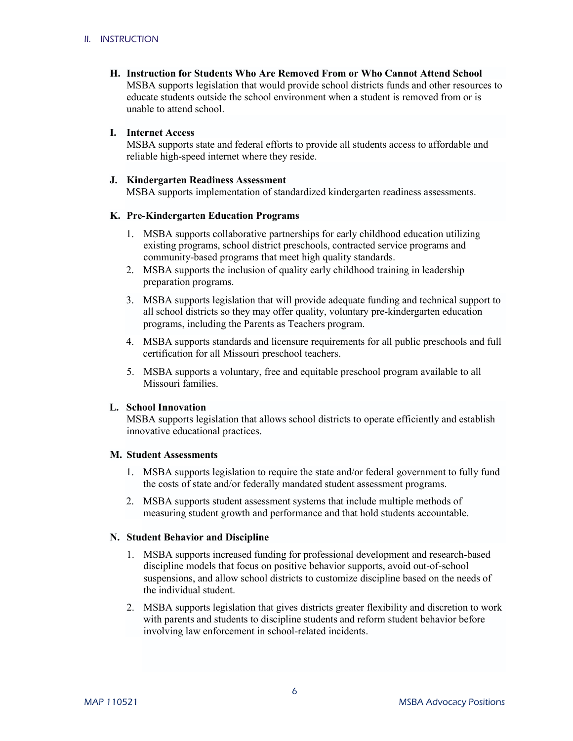#### II. INSTRUCTION

**H. Instruction for Students Who Are Removed From or Who Cannot Attend School** MSBA supports legislation that would provide school districts funds and other resources to educate students outside the school environment when a student is removed from or is unable to attend school.

#### **I. Internet Access**

MSBA supports state and federal efforts to provide all students access to affordable and reliable high-speed internet where they reside.

#### **J. Kindergarten Readiness Assessment**

MSBA supports implementation of standardized kindergarten readiness assessments.

#### **K. Pre-Kindergarten Education Programs**

- 1. MSBA supports collaborative partnerships for early childhood education utilizing existing programs, school district preschools, contracted service programs and community-based programs that meet high quality standards.
- 2. MSBA supports the inclusion of quality early childhood training in leadership preparation programs.
- 3. MSBA supports legislation that will provide adequate funding and technical support to all school districts so they may offer quality, voluntary pre-kindergarten education programs, including the Parents as Teachers program.
- 4. MSBA supports standards and licensure requirements for all public preschools and full certification for all Missouri preschool teachers.
- 5. MSBA supports a voluntary, free and equitable preschool program available to all Missouri families.

#### **L. School Innovation**

MSBA supports legislation that allows school districts to operate efficiently and establish innovative educational practices.

#### **M. Student Assessments**

- 1. MSBA supports legislation to require the state and/or federal government to fully fund the costs of state and/or federally mandated student assessment programs.
- 2. MSBA supports student assessment systems that include multiple methods of measuring student growth and performance and that hold students accountable.

#### **N. Student Behavior and Discipline**

- 1. MSBA supports increased funding for professional development and research-based discipline models that focus on positive behavior supports, avoid out-of-school suspensions, and allow school districts to customize discipline based on the needs of the individual student.
- 2. MSBA supports legislation that gives districts greater flexibility and discretion to work with parents and students to discipline students and reform student behavior before involving law enforcement in school-related incidents.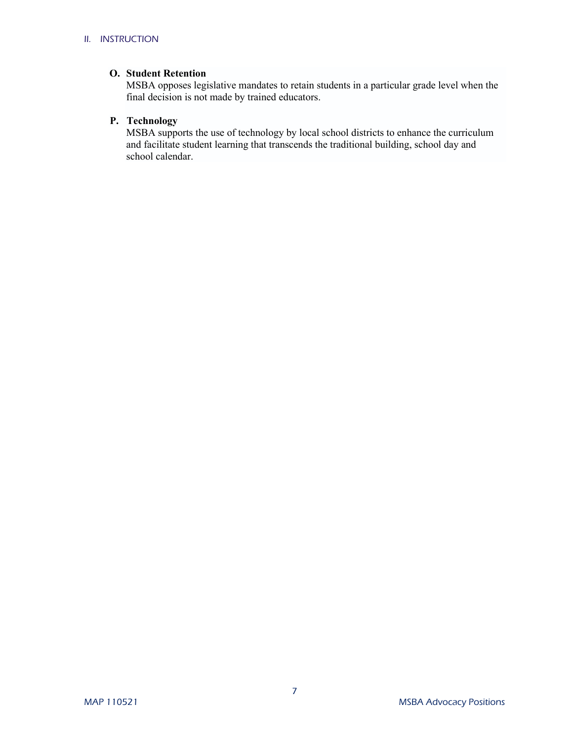#### **O. Student Retention**

MSBA opposes legislative mandates to retain students in a particular grade level when the final decision is not made by trained educators.

#### **P. Technology**

MSBA supports the use of technology by local school districts to enhance the curriculum and facilitate student learning that transcends the traditional building, school day and school calendar.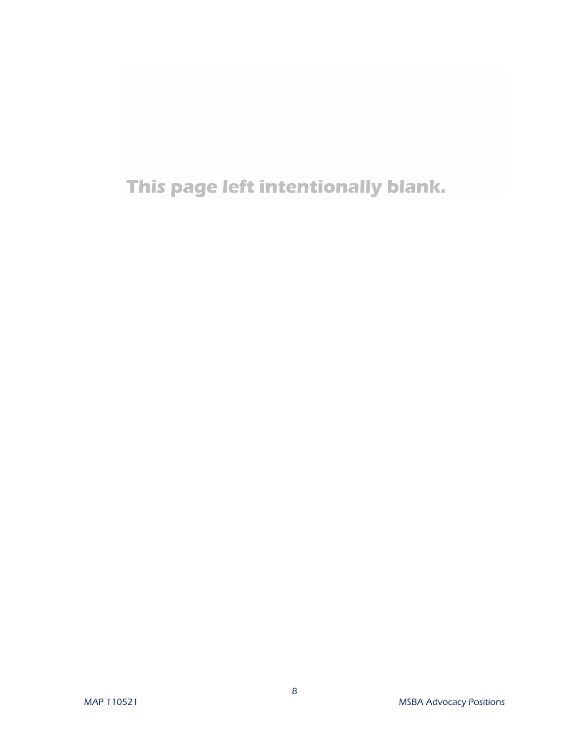# **This page left intentionally blank.**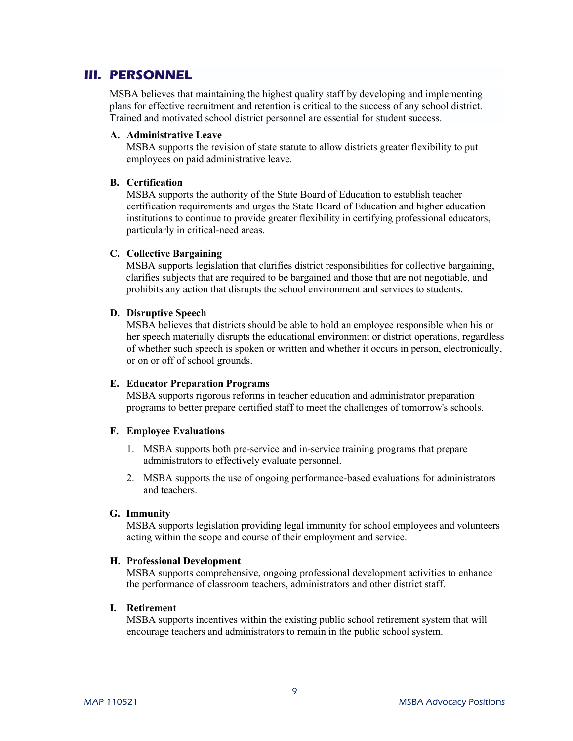# **III. PERSONNEL**

MSBA believes that maintaining the highest quality staff by developing and implementing plans for effective recruitment and retention is critical to the success of any school district. Trained and motivated school district personnel are essential for student success.

#### **A. Administrative Leave**

MSBA supports the revision of state statute to allow districts greater flexibility to put employees on paid administrative leave.

#### **B. Certification**

MSBA supports the authority of the State Board of Education to establish teacher certification requirements and urges the State Board of Education and higher education institutions to continue to provide greater flexibility in certifying professional educators, particularly in critical-need areas.

#### **C. Collective Bargaining**

MSBA supports legislation that clarifies district responsibilities for collective bargaining, clarifies subjects that are required to be bargained and those that are not negotiable, and prohibits any action that disrupts the school environment and services to students.

#### **D. Disruptive Speech**

MSBA believes that districts should be able to hold an employee responsible when his or her speech materially disrupts the educational environment or district operations, regardless of whether such speech is spoken or written and whether it occurs in person, electronically, or on or off of school grounds.

#### **E. Educator Preparation Programs**

MSBA supports rigorous reforms in teacher education and administrator preparation programs to better prepare certified staff to meet the challenges of tomorrow's schools.

#### **F. Employee Evaluations**

- 1. MSBA supports both pre-service and in-service training programs that prepare administrators to effectively evaluate personnel.
- 2. MSBA supports the use of ongoing performance-based evaluations for administrators and teachers.

#### **G. Immunity**

MSBA supports legislation providing legal immunity for school employees and volunteers acting within the scope and course of their employment and service.

#### **H. Professional Development**

MSBA supports comprehensive, ongoing professional development activities to enhance the performance of classroom teachers, administrators and other district staff.

#### **I. Retirement**

MSBA supports incentives within the existing public school retirement system that will encourage teachers and administrators to remain in the public school system.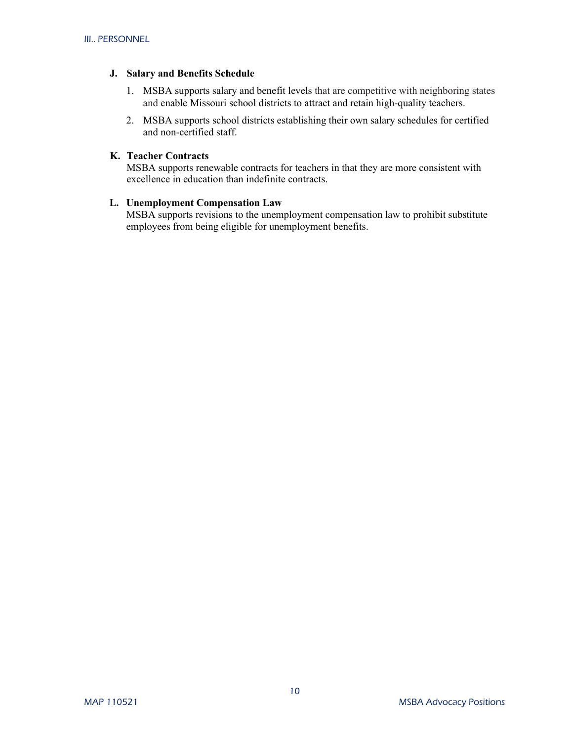#### **J. Salary and Benefits Schedule**

- 1. MSBA supports salary and benefit levels that are competitive with neighboring states and enable Missouri school districts to attract and retain high-quality teachers.
- 2. MSBA supports school districts establishing their own salary schedules for certified and non-certified staff.

#### **K. Teacher Contracts**

MSBA supports renewable contracts for teachers in that they are more consistent with excellence in education than indefinite contracts.

#### **L. Unemployment Compensation Law**

MSBA supports revisions to the unemployment compensation law to prohibit substitute employees from being eligible for unemployment benefits.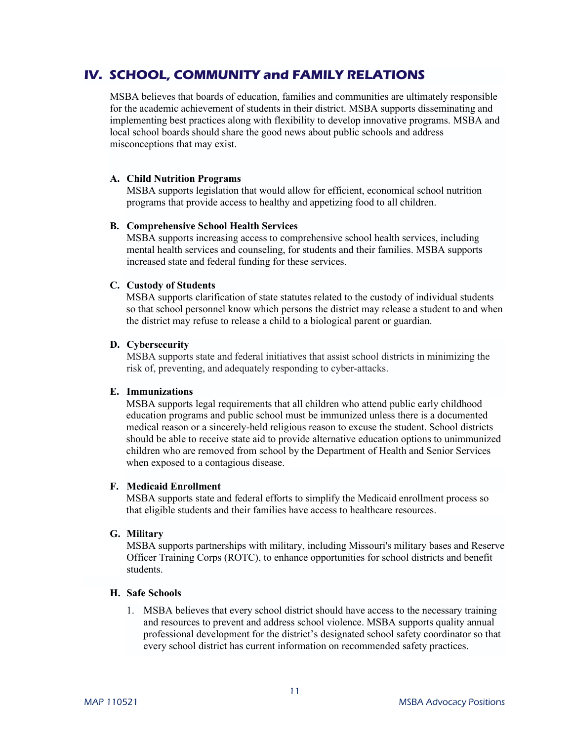# **IV. SCHOOL, COMMUNITY and FAMILY RELATIONS**

MSBA believes that boards of education, families and communities are ultimately responsible for the academic achievement of students in their district. MSBA supports disseminating and implementing best practices along with flexibility to develop innovative programs. MSBA and local school boards should share the good news about public schools and address misconceptions that may exist.

#### **A. Child Nutrition Programs**

MSBA supports legislation that would allow for efficient, economical school nutrition programs that provide access to healthy and appetizing food to all children.

#### **B. Comprehensive School Health Services**

MSBA supports increasing access to comprehensive school health services, including mental health services and counseling, for students and their families. MSBA supports increased state and federal funding for these services.

#### **C. Custody of Students**

MSBA supports clarification of state statutes related to the custody of individual students so that school personnel know which persons the district may release a student to and when the district may refuse to release a child to a biological parent or guardian.

#### **D. Cybersecurity**

MSBA supports state and federal initiatives that assist school districts in minimizing the risk of, preventing, and adequately responding to cyber-attacks.

#### **E. Immunizations**

MSBA supports legal requirements that all children who attend public early childhood education programs and public school must be immunized unless there is a documented medical reason or a sincerely-held religious reason to excuse the student. School districts should be able to receive state aid to provide alternative education options to unimmunized children who are removed from school by the Department of Health and Senior Services when exposed to a contagious disease.

#### **F. Medicaid Enrollment**

MSBA supports state and federal efforts to simplify the Medicaid enrollment process so that eligible students and their families have access to healthcare resources.

#### **G. Military**

MSBA supports partnerships with military, including Missouri's military bases and Reserve Officer Training Corps (ROTC), to enhance opportunities for school districts and benefit students.

#### **H. Safe Schools**

1. MSBA believes that every school district should have access to the necessary training and resources to prevent and address school violence. MSBA supports quality annual professional development for the district's designated school safety coordinator so that every school district has current information on recommended safety practices.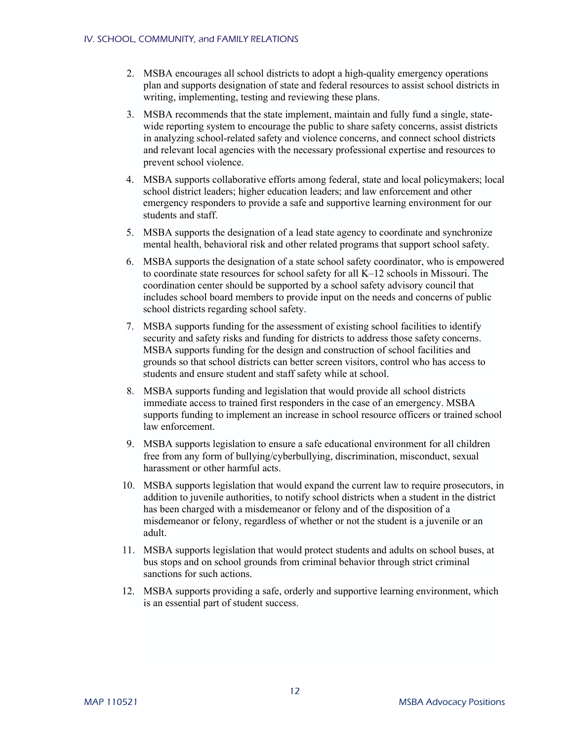- 2. MSBA encourages all school districts to adopt a high-quality emergency operations plan and supports designation of state and federal resources to assist school districts in writing, implementing, testing and reviewing these plans.
- 3. MSBA recommends that the state implement, maintain and fully fund a single, statewide reporting system to encourage the public to share safety concerns, assist districts in analyzing school-related safety and violence concerns, and connect school districts and relevant local agencies with the necessary professional expertise and resources to prevent school violence.
- 4. MSBA supports collaborative efforts among federal, state and local policymakers; local school district leaders; higher education leaders; and law enforcement and other emergency responders to provide a safe and supportive learning environment for our students and staff.
- 5. MSBA supports the designation of a lead state agency to coordinate and synchronize mental health, behavioral risk and other related programs that support school safety.
- 6. MSBA supports the designation of a state school safety coordinator, who is empowered to coordinate state resources for school safety for all K–12 schools in Missouri. The coordination center should be supported by a school safety advisory council that includes school board members to provide input on the needs and concerns of public school districts regarding school safety.
- 7. MSBA supports funding for the assessment of existing school facilities to identify security and safety risks and funding for districts to address those safety concerns. MSBA supports funding for the design and construction of school facilities and grounds so that school districts can better screen visitors, control who has access to students and ensure student and staff safety while at school.
- 8. MSBA supports funding and legislation that would provide all school districts immediate access to trained first responders in the case of an emergency. MSBA supports funding to implement an increase in school resource officers or trained school law enforcement.
- 9. MSBA supports legislation to ensure a safe educational environment for all children free from any form of bullying/cyberbullying, discrimination, misconduct, sexual harassment or other harmful acts.
- 10. MSBA supports legislation that would expand the current law to require prosecutors, in addition to juvenile authorities, to notify school districts when a student in the district has been charged with a misdemeanor or felony and of the disposition of a misdemeanor or felony, regardless of whether or not the student is a juvenile or an adult.
- 11. MSBA supports legislation that would protect students and adults on school buses, at bus stops and on school grounds from criminal behavior through strict criminal sanctions for such actions.
- 12. MSBA supports providing a safe, orderly and supportive learning environment, which is an essential part of student success.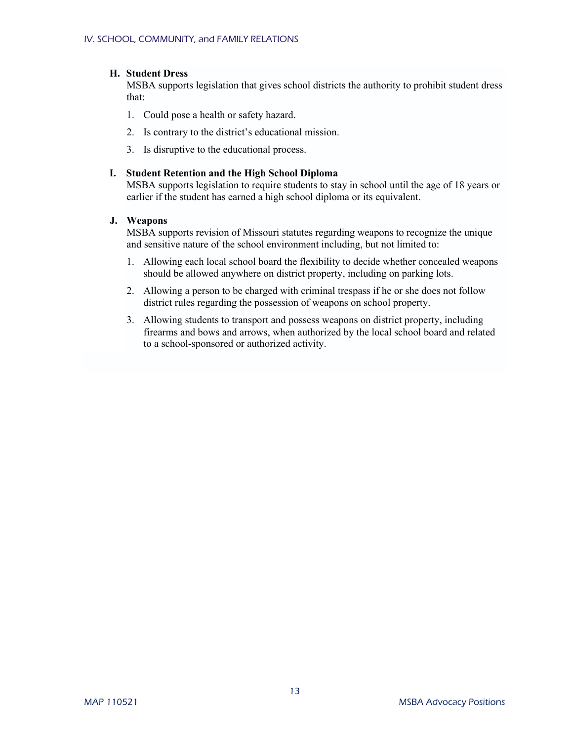#### **H. Student Dress**

MSBA supports legislation that gives school districts the authority to prohibit student dress that:

- 1. Could pose a health or safety hazard.
- 2. Is contrary to the district's educational mission.
- 3. Is disruptive to the educational process.

#### **I. Student Retention and the High School Diploma**

MSBA supports legislation to require students to stay in school until the age of 18 years or earlier if the student has earned a high school diploma or its equivalent.

#### **J. Weapons**

MSBA supports revision of Missouri statutes regarding weapons to recognize the unique and sensitive nature of the school environment including, but not limited to:

- 1. Allowing each local school board the flexibility to decide whether concealed weapons should be allowed anywhere on district property, including on parking lots.
- 2. Allowing a person to be charged with criminal trespass if he or she does not follow district rules regarding the possession of weapons on school property.
- 3. Allowing students to transport and possess weapons on district property, including firearms and bows and arrows, when authorized by the local school board and related to a school-sponsored or authorized activity.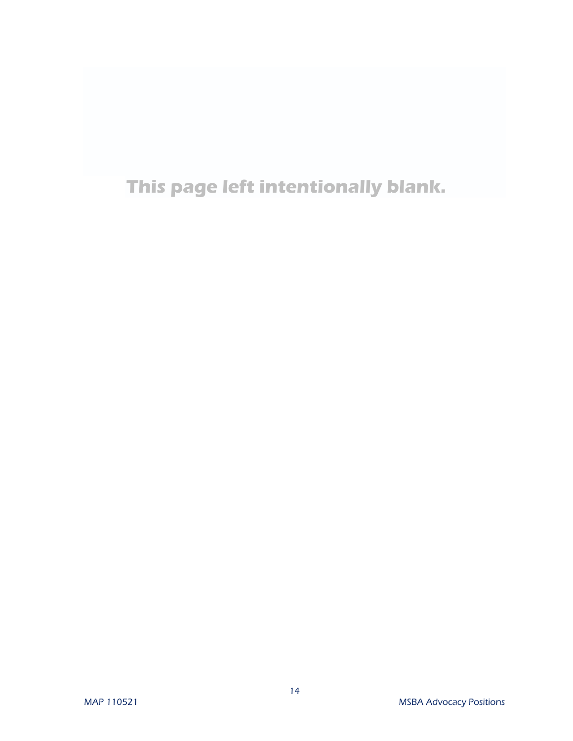# **This page left intentionally blank.**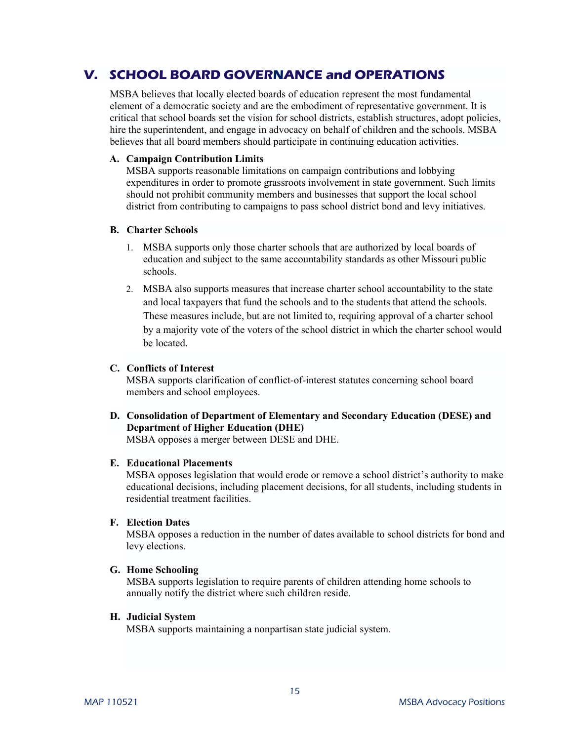# **V. SCHOOL BOARD GOVERNANCE and OPERATIONS**

MSBA believes that locally elected boards of education represent the most fundamental element of a democratic society and are the embodiment of representative government. It is critical that school boards set the vision for school districts, establish structures, adopt policies, hire the superintendent, and engage in advocacy on behalf of children and the schools. MSBA believes that all board members should participate in continuing education activities.

#### **A. Campaign Contribution Limits**

MSBA supports reasonable limitations on campaign contributions and lobbying expenditures in order to promote grassroots involvement in state government. Such limits should not prohibit community members and businesses that support the local school district from contributing to campaigns to pass school district bond and levy initiatives.

#### **B. Charter Schools**

- 1. MSBA supports only those charter schools that are authorized by local boards of education and subject to the same accountability standards as other Missouri public schools.
- 2. MSBA also supports measures that increase charter school accountability to the state and local taxpayers that fund the schools and to the students that attend the schools. These measures include, but are not limited to, requiring approval of a charter school by a majority vote of the voters of the school district in which the charter school would be located.

#### **C. Conflicts of Interest**

MSBA supports clarification of conflict-of-interest statutes concerning school board members and school employees.

**D. Consolidation of Department of Elementary and Secondary Education (DESE) and Department of Higher Education (DHE)** MSBA opposes a merger between DESE and DHE.

#### **E. Educational Placements**

MSBA opposes legislation that would erode or remove a school district's authority to make educational decisions, including placement decisions, for all students, including students in residential treatment facilities.

#### **F. Election Dates**

MSBA opposes a reduction in the number of dates available to school districts for bond and levy elections.

#### **G. Home Schooling**

MSBA supports legislation to require parents of children attending home schools to annually notify the district where such children reside.

#### **H. Judicial System**

MSBA supports maintaining a nonpartisan state judicial system.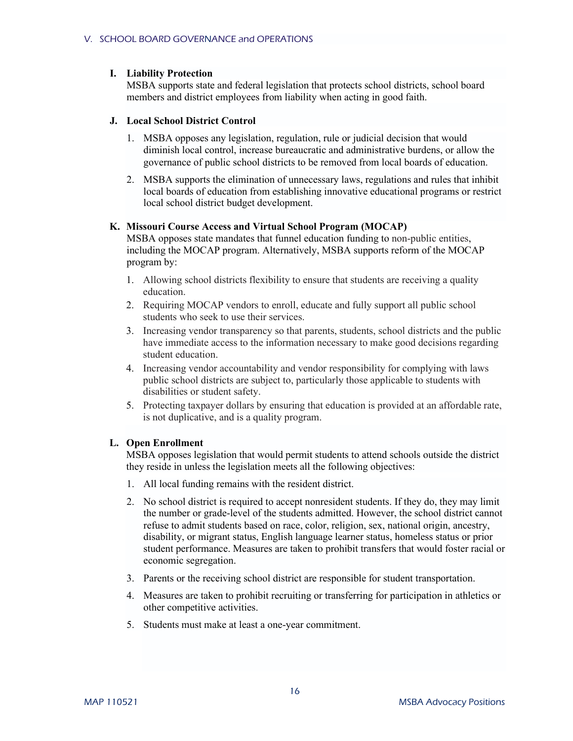#### **I. Liability Protection**

MSBA supports state and federal legislation that protects school districts, school board members and district employees from liability when acting in good faith.

#### **J. Local School District Control**

- 1. MSBA opposes any legislation, regulation, rule or judicial decision that would diminish local control, increase bureaucratic and administrative burdens, or allow the governance of public school districts to be removed from local boards of education.
- 2. MSBA supports the elimination of unnecessary laws, regulations and rules that inhibit local boards of education from establishing innovative educational programs or restrict local school district budget development.

#### **K. Missouri Course Access and Virtual School Program (MOCAP)**

MSBA opposes state mandates that funnel education funding to non-public entities, including the MOCAP program. Alternatively, MSBA supports reform of the MOCAP program by:

- 1. Allowing school districts flexibility to ensure that students are receiving a quality education.
- 2. Requiring MOCAP vendors to enroll, educate and fully support all public school students who seek to use their services.
- 3. Increasing vendor transparency so that parents, students, school districts and the public have immediate access to the information necessary to make good decisions regarding student education.
- 4. Increasing vendor accountability and vendor responsibility for complying with laws public school districts are subject to, particularly those applicable to students with disabilities or student safety.
- 5. Protecting taxpayer dollars by ensuring that education is provided at an affordable rate, is not duplicative, and is a quality program.

#### **L. Open Enrollment**

MSBA opposes legislation that would permit students to attend schools outside the district they reside in unless the legislation meets all the following objectives:

- 1. All local funding remains with the resident district.
- 2. No school district is required to accept nonresident students. If they do, they may limit the number or grade-level of the students admitted. However, the school district cannot refuse to admit students based on race, color, religion, sex, national origin, ancestry, disability, or migrant status, English language learner status, homeless status or prior student performance. Measures are taken to prohibit transfers that would foster racial or economic segregation.
- 3. Parents or the receiving school district are responsible for student transportation.
- 4. Measures are taken to prohibit recruiting or transferring for participation in athletics or other competitive activities.
- 5. Students must make at least a one-year commitment.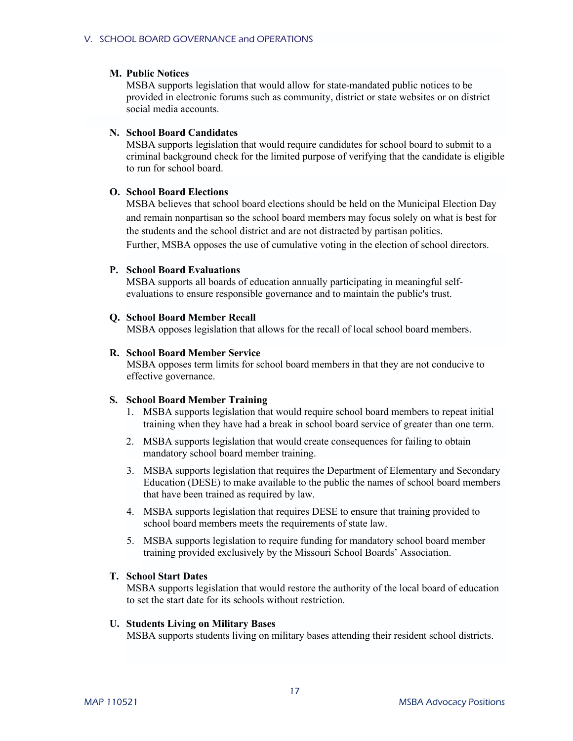#### **M. Public Notices**

MSBA supports legislation that would allow for state-mandated public notices to be provided in electronic forums such as community, district or state websites or on district social media accounts.

#### **N. School Board Candidates**

MSBA supports legislation that would require candidates for school board to submit to a criminal background check for the limited purpose of verifying that the candidate is eligible to run for school board.

#### **O. School Board Elections**

MSBA believes that school board elections should be held on the Municipal Election Day and remain nonpartisan so the school board members may focus solely on what is best for the students and the school district and are not distracted by partisan politics. Further, MSBA opposes the use of cumulative voting in the election of school directors.

#### **P. School Board Evaluations**

MSBA supports all boards of education annually participating in meaningful selfevaluations to ensure responsible governance and to maintain the public's trust.

#### **Q. School Board Member Recall**

MSBA opposes legislation that allows for the recall of local school board members.

#### **R. School Board Member Service**

MSBA opposes term limits for school board members in that they are not conducive to effective governance.

#### **S. School Board Member Training**

- 1. MSBA supports legislation that would require school board members to repeat initial training when they have had a break in school board service of greater than one term.
- 2. MSBA supports legislation that would create consequences for failing to obtain mandatory school board member training.
- 3. MSBA supports legislation that requires the Department of Elementary and Secondary Education (DESE) to make available to the public the names of school board members that have been trained as required by law.
- 4. MSBA supports legislation that requires DESE to ensure that training provided to school board members meets the requirements of state law.
- 5. MSBA supports legislation to require funding for mandatory school board member training provided exclusively by the Missouri School Boards' Association.

#### **T. School Start Dates**

MSBA supports legislation that would restore the authority of the local board of education to set the start date for its schools without restriction.

#### **U. Students Living on Military Bases**

MSBA supports students living on military bases attending their resident school districts.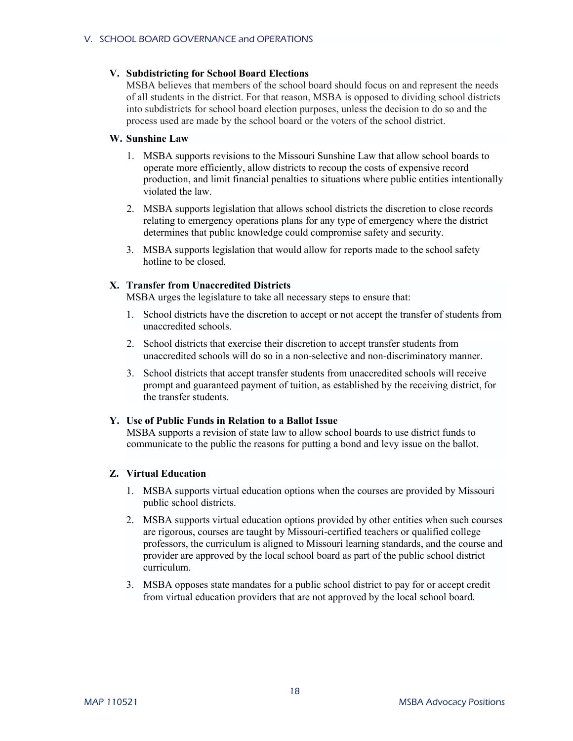#### **V. Subdistricting for School Board Elections**

MSBA believes that members of the school board should focus on and represent the needs of all students in the district. For that reason, MSBA is opposed to dividing school districts into subdistricts for school board election purposes, unless the decision to do so and the process used are made by the school board or the voters of the school district.

#### **W. Sunshine Law**

- 1. MSBA supports revisions to the Missouri Sunshine Law that allow school boards to operate more efficiently, allow districts to recoup the costs of expensive record production, and limit financial penalties to situations where public entities intentionally violated the law.
- 2. MSBA supports legislation that allows school districts the discretion to close records relating to emergency operations plans for any type of emergency where the district determines that public knowledge could compromise safety and security.
- 3. MSBA supports legislation that would allow for reports made to the school safety hotline to be closed.

#### **X. Transfer from Unaccredited Districts**

MSBA urges the legislature to take all necessary steps to ensure that:

- 1. School districts have the discretion to accept or not accept the transfer of students from unaccredited schools.
- 2. School districts that exercise their discretion to accept transfer students from unaccredited schools will do so in a non-selective and non-discriminatory manner.
- 3. School districts that accept transfer students from unaccredited schools will receive prompt and guaranteed payment of tuition, as established by the receiving district, for the transfer students.

#### **Y. Use of Public Funds in Relation to a Ballot Issue**

MSBA supports a revision of state law to allow school boards to use district funds to communicate to the public the reasons for putting a bond and levy issue on the ballot.

#### **Z. Virtual Education**

- 1. MSBA supports virtual education options when the courses are provided by Missouri public school districts.
- 2. MSBA supports virtual education options provided by other entities when such courses are rigorous, courses are taught by Missouri-certified teachers or qualified college professors, the curriculum is aligned to Missouri learning standards, and the course and provider are approved by the local school board as part of the public school district curriculum.
- 3. MSBA opposes state mandates for a public school district to pay for or accept credit from virtual education providers that are not approved by the local school board.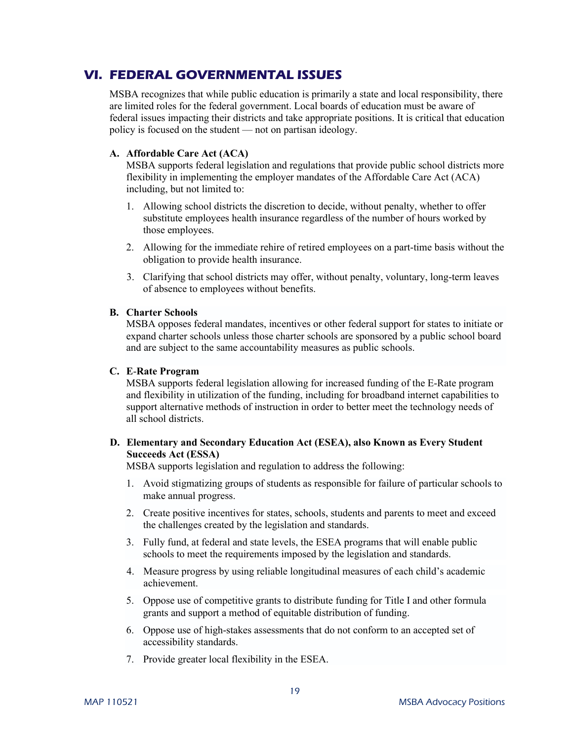# **VI. FEDERAL GOVERNMENTAL ISSUES**

MSBA recognizes that while public education is primarily a state and local responsibility, there are limited roles for the federal government. Local boards of education must be aware of federal issues impacting their districts and take appropriate positions. It is critical that education policy is focused on the student — not on partisan ideology.

#### **A. Affordable Care Act (ACA)**

MSBA supports federal legislation and regulations that provide public school districts more flexibility in implementing the employer mandates of the Affordable Care Act (ACA) including, but not limited to:

- 1. Allowing school districts the discretion to decide, without penalty, whether to offer substitute employees health insurance regardless of the number of hours worked by those employees.
- 2. Allowing for the immediate rehire of retired employees on a part-time basis without the obligation to provide health insurance.
- 3. Clarifying that school districts may offer, without penalty, voluntary, long-term leaves of absence to employees without benefits.

#### **B. Charter Schools**

MSBA opposes federal mandates, incentives or other federal support for states to initiate or expand charter schools unless those charter schools are sponsored by a public school board and are subject to the same accountability measures as public schools.

#### **C. E**-**Rate Program**

MSBA supports federal legislation allowing for increased funding of the E-Rate program and flexibility in utilization of the funding, including for broadband internet capabilities to support alternative methods of instruction in order to better meet the technology needs of all school districts.

#### **D. Elementary and Secondary Education Act (ESEA), also Known as Every Student Succeeds Act (ESSA)**

MSBA supports legislation and regulation to address the following:

- 1. Avoid stigmatizing groups of students as responsible for failure of particular schools to make annual progress.
- 2. Create positive incentives for states, schools, students and parents to meet and exceed the challenges created by the legislation and standards.
- 3. Fully fund, at federal and state levels, the ESEA programs that will enable public schools to meet the requirements imposed by the legislation and standards.
- 4. Measure progress by using reliable longitudinal measures of each child's academic achievement.
- 5. Oppose use of competitive grants to distribute funding for Title I and other formula grants and support a method of equitable distribution of funding.
- 6. Oppose use of high-stakes assessments that do not conform to an accepted set of accessibility standards.
- 7. Provide greater local flexibility in the ESEA.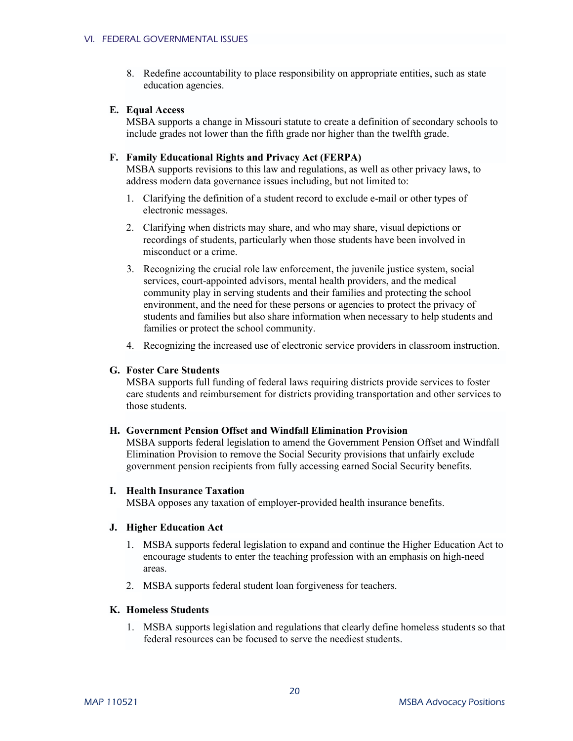8. Redefine accountability to place responsibility on appropriate entities, such as state education agencies.

#### **E. Equal Access**

MSBA supports a change in Missouri statute to create a definition of secondary schools to include grades not lower than the fifth grade nor higher than the twelfth grade.

#### **F. Family Educational Rights and Privacy Act (FERPA)**

MSBA supports revisions to this law and regulations, as well as other privacy laws, to address modern data governance issues including, but not limited to:

- 1. Clarifying the definition of a student record to exclude e-mail or other types of electronic messages.
- 2. Clarifying when districts may share, and who may share, visual depictions or recordings of students, particularly when those students have been involved in misconduct or a crime.
- 3. Recognizing the crucial role law enforcement, the juvenile justice system, social services, court-appointed advisors, mental health providers, and the medical community play in serving students and their families and protecting the school environment, and the need for these persons or agencies to protect the privacy of students and families but also share information when necessary to help students and families or protect the school community.
- 4. Recognizing the increased use of electronic service providers in classroom instruction.

#### **G. Foster Care Students**

MSBA supports full funding of federal laws requiring districts provide services to foster care students and reimbursement for districts providing transportation and other services to those students.

#### **H. Government Pension Offset and Windfall Elimination Provision**

MSBA supports federal legislation to amend the Government Pension Offset and Windfall Elimination Provision to remove the Social Security provisions that unfairly exclude government pension recipients from fully accessing earned Social Security benefits.

#### **I. Health Insurance Taxation**

MSBA opposes any taxation of employer-provided health insurance benefits.

#### **J. Higher Education Act**

- 1. MSBA supports federal legislation to expand and continue the Higher Education Act to encourage students to enter the teaching profession with an emphasis on high-need areas.
- 2. MSBA supports federal student loan forgiveness for teachers.

#### **K. Homeless Students**

1. MSBA supports legislation and regulations that clearly define homeless students so that federal resources can be focused to serve the neediest students.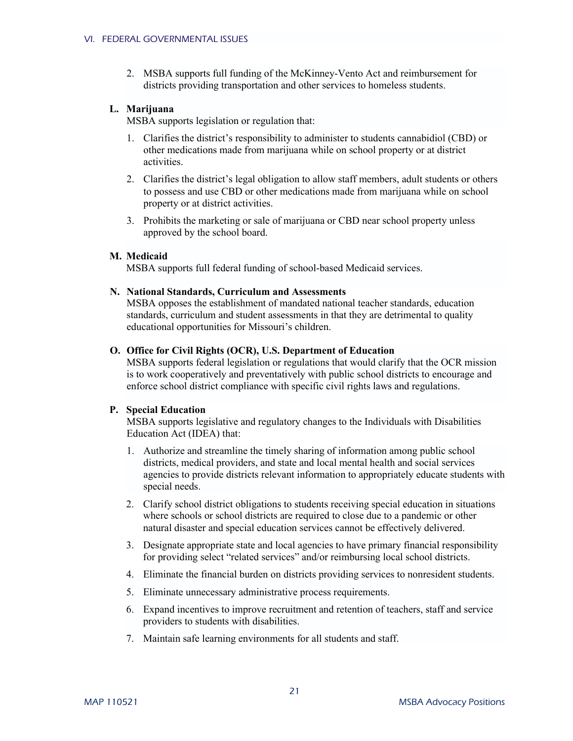2. MSBA supports full funding of the McKinney-Vento Act and reimbursement for districts providing transportation and other services to homeless students.

#### **L. Marijuana**

MSBA supports legislation or regulation that:

- 1. Clarifies the district's responsibility to administer to students cannabidiol (CBD) or other medications made from marijuana while on school property or at district activities.
- 2. Clarifies the district's legal obligation to allow staff members, adult students or others to possess and use CBD or other medications made from marijuana while on school property or at district activities.
- 3. Prohibits the marketing or sale of marijuana or CBD near school property unless approved by the school board.

#### **M. Medicaid**

MSBA supports full federal funding of school-based Medicaid services.

#### **N. National Standards, Curriculum and Assessments**

MSBA opposes the establishment of mandated national teacher standards, education standards, curriculum and student assessments in that they are detrimental to quality educational opportunities for Missouri's children.

#### **O. Office for Civil Rights (OCR), U.S. Department of Education**

MSBA supports federal legislation or regulations that would clarify that the OCR mission is to work cooperatively and preventatively with public school districts to encourage and enforce school district compliance with specific civil rights laws and regulations.

#### **P. Special Education**

MSBA supports legislative and regulatory changes to the Individuals with Disabilities Education Act (IDEA) that:

- 1. Authorize and streamline the timely sharing of information among public school districts, medical providers, and state and local mental health and social services agencies to provide districts relevant information to appropriately educate students with special needs.
- 2. Clarify school district obligations to students receiving special education in situations where schools or school districts are required to close due to a pandemic or other natural disaster and special education services cannot be effectively delivered.
- 3. Designate appropriate state and local agencies to have primary financial responsibility for providing select "related services" and/or reimbursing local school districts.
- 4. Eliminate the financial burden on districts providing services to nonresident students.
- 5. Eliminate unnecessary administrative process requirements.
- 6. Expand incentives to improve recruitment and retention of teachers, staff and service providers to students with disabilities.
- 7. Maintain safe learning environments for all students and staff.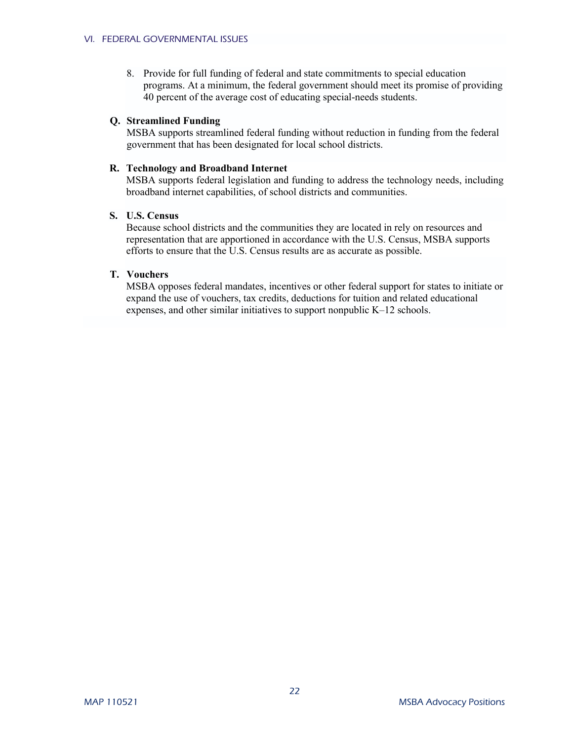8. Provide for full funding of federal and state commitments to special education programs. At a minimum, the federal government should meet its promise of providing 40 percent of the average cost of educating special-needs students.

#### **Q. Streamlined Funding**

MSBA supports streamlined federal funding without reduction in funding from the federal government that has been designated for local school districts.

#### **R. Technology and Broadband Internet**

MSBA supports federal legislation and funding to address the technology needs, including broadband internet capabilities, of school districts and communities.

#### **S. U.S. Census**

Because school districts and the communities they are located in rely on resources and representation that are apportioned in accordance with the U.S. Census, MSBA supports efforts to ensure that the U.S. Census results are as accurate as possible.

#### **T. Vouchers**

MSBA opposes federal mandates, incentives or other federal support for states to initiate or expand the use of vouchers, tax credits, deductions for tuition and related educational expenses, and other similar initiatives to support nonpublic K–12 schools.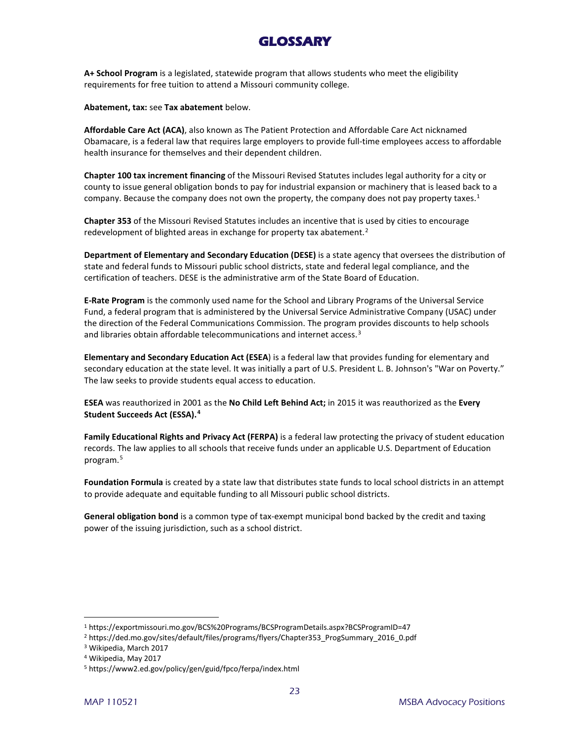# **GLOSSARY**

**A+ School Program** is a legislated, statewide program that allows students who meet the eligibility requirements for free tuition to attend a Missouri community college.

**Abatement, tax:** see **Tax abatement** below.

**Affordable Care Act (ACA)**, also known as The Patient Protection and Affordable Care Act nicknamed Obamacare, is a federal law that requires large employers to provide full-time employees access to affordable health insurance for themselves and their dependent children.

**Chapter 100 tax increment financing** of the Missouri Revised Statutes includes legal authority for a city or county to issue general obligation bonds to pay for industrial expansion or machinery that is leased back to a company. Because the company does not own the property, the company does not pay property taxes.<sup>[1](#page-30-0)</sup>

**Chapter 353** of the Missouri Revised Statutes includes an incentive that is used by cities to encourage redevelopment of blighted areas in exchange for property tax abatement.<sup>[2](#page-30-1)</sup>

**Department of Elementary and Secondary Education (DESE)** is a state agency that oversees the distribution of state and federal funds to Missouri public school districts, state and federal legal compliance, and the certification of teachers. DESE is the administrative arm of the State Board of Education.

**E-Rate Program** is the commonly used name for the School and Library Programs of the [Universal](https://en.wikipedia.org/wiki/Universal_Service_Fund) Service [Fund,](https://en.wikipedia.org/wiki/Universal_Service_Fund) a federal program that is administered by the Universal Service [Administrative](https://en.wikipedia.org/wiki/Universal_Service_Administrative_Company) Company (USAC) under the direction of the Federal [Communications](https://en.wikipedia.org/wiki/Federal_Communications_Commission) Commission. The program provides discounts to help schools and libraries obtain affordable telecommunications and [internet](https://en.wikipedia.org/wiki/Internet_access) access.<sup>[3](#page-30-2)</sup>

**Elementary and Secondary Education Act (ESEA**) is a federal law that provides funding for elementary and secondary education at the state level. It was initially a part of U.S. [President](https://en.wikipedia.org/wiki/United_States_President) L. B. [Johnson'](https://en.wikipedia.org/wiki/Lyndon_B._Johnson)s "War on [Poverty.](https://en.wikipedia.org/wiki/War_on_Poverty)" The law seeks to provide students equal access to education.

**ESEA** was reauthorized in 2001 as the **No Child Left Behind Act;** in 2015 it was reauthorized as the **Every Student Succeeds Act (ESSA).[4](#page-30-3)**

**Family Educational Rights and Privacy Act (FERPA)** is a federal law protecting the privacy of student education records. The law applies to all schools that receive funds under an applicable U.S. Department of Education program. [5](#page-30-4)

**Foundation Formula** is created by a state law that distributes state funds to local school districts in an attempt to provide adequate and equitable funding to all Missouri public school districts.

**General obligation bond** is a common type of tax-exempt municipal bond backed by the credit and taxing power of the issuing jurisdiction, such as a school district.

<span id="page-30-0"></span><sup>1</sup> https://exportmissouri.mo.gov/BCS%20Programs/BCSProgramDetails.aspx?BCSProgramID=47

<span id="page-30-1"></span><sup>2</sup> https://ded.mo.gov/sites/default/files/programs/flyers/Chapter353\_ProgSummary\_2016\_0.pdf

<span id="page-30-2"></span><sup>3</sup> Wikipedia, March 2017

<span id="page-30-3"></span><sup>4</sup> Wikipedia, May 2017

<span id="page-30-4"></span><sup>5</sup> <https://www2.ed.gov/policy/gen/guid/fpco/ferpa/index.html>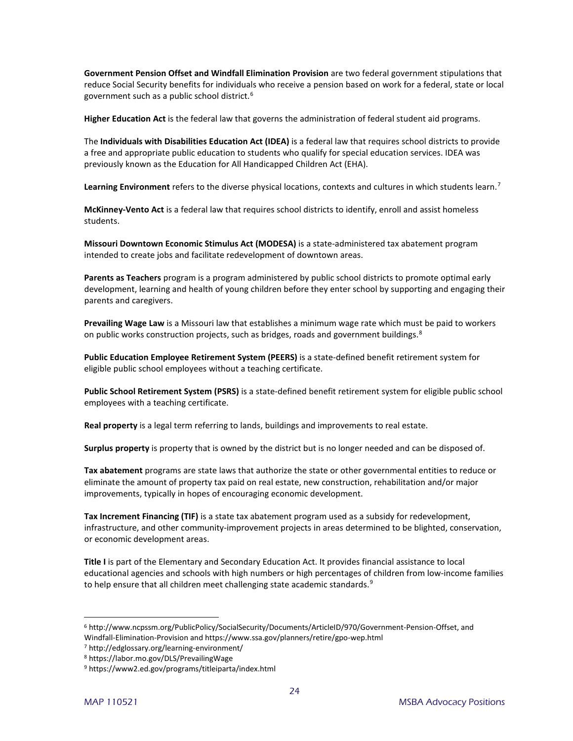**Government Pension Offset and Windfall Elimination Provision** are two federal government stipulations that reduce Social Security benefits for individuals who receive a pension based on work for a federal, state or local government such as a public school district.<sup>6</sup>

**Higher Education Act** is the federal law that governs the administration of federal student aid programs.

The **Individuals with Disabilities Education Act (IDEA)** is a federal law that requires school districts to provide a free and appropriate public education to students who qualify for special education services. IDEA was previously known as the Education for All Handicapped Children Act (EHA).

**Learning Environment** refers to the diverse physical locations, contexts and cultures in which students learn. [7](#page-31-1)

**McKinney-Vento Act** is a federal law that requires school districts to identify, enroll and assist homeless students.

**Missouri Downtown Economic Stimulus Act (MODESA)** is a state-administered tax abatement program intended to create jobs and facilitate redevelopment of downtown areas.

**Parents as Teachers** program is a program administered by public school districts to promote optimal early development, learning and health of young children before they enter school by supporting and engaging their parents and caregivers.

**Prevailing Wage Law** is a Missouri law that establishes a minimum wage rate which must be paid to workers on public works construction projects, such as bridges, roads and government buildings. $8$ 

**Public Education Employee Retirement System (PEERS)** is a state-defined benefit retirement system for eligible public school employees without a teaching certificate.

**Public School Retirement System (PSRS)** is a state-defined benefit retirement system for eligible public school employees with a teaching certificate.

**Real property** is a legal term referring to lands, buildings and improvements to real estate.

**Surplus property** is property that is owned by the district but is no longer needed and can be disposed of.

**Tax abatement** programs are state laws that authorize the state or other governmental entities to reduce or eliminate the amount of property tax paid on real estate, new construction, rehabilitation and/or major improvements, typically in hopes of encouraging economic development.

**Tax Increment Financing (TIF)** is a state tax abatement program used as a subsidy for redevelopment, infrastructure, and other community-improvement projects in areas determined to be blighted, conservation, or economic development areas.

**Title I** is part of the Elementary and Secondary Education Act. It provides financial assistance to local educational agencies and schools with high numbers or high percentages of children from low-income families to help ensure that all children meet challenging state academic standards. $9$ 

<span id="page-31-0"></span><sup>6</sup> [http://www.ncpssm.org/PublicPolicy/SocialSecurity/Documents/ArticleID/970/Government-Pension-Offset,](http://www.ncpssm.org/PublicPolicy/SocialSecurity/Documents/ArticleID/970/Government-Pension-Offset,%20and%20Windfall-Elimination-Provision) and [Windfall-Elimination-Provision](http://www.ncpssm.org/PublicPolicy/SocialSecurity/Documents/ArticleID/970/Government-Pension-Offset,%20and%20Windfall-Elimination-Provision) and <https://www.ssa.gov/planners/retire/gpo-wep.html>

<span id="page-31-1"></span><sup>7</sup> <http://edglossary.org/learning-environment/>

<span id="page-31-2"></span><sup>8</sup> https://labor.mo.gov/DLS/PrevailingWage

<span id="page-31-3"></span><sup>9</sup> https://www2.ed.gov/programs/titleiparta/index.html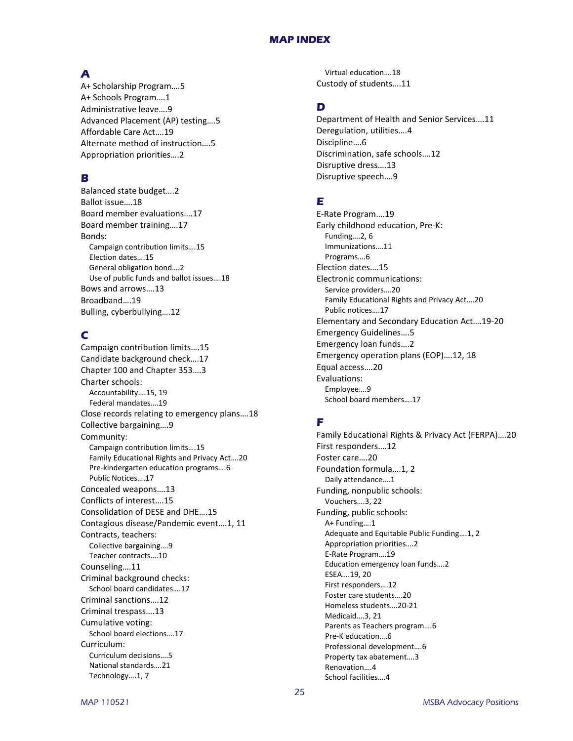#### **MAP INDEX**

#### **A**

A+ Scholarship Program….5 A+ Schools Program….1 Administrative leave….9 Advanced Placement (AP) testing….5 Affordable Care Act….19 Alternate method of instruction….5 Appropriation priorities….2

# **B**

Balanced state budget….2 Ballot issue….18 Board member evaluations….17 Board member training….17 Bonds: Campaign contribution limits….15 Election dates….15 General obligation bond….2 Use of public funds and ballot issues….18 Bows and arrows….13 Broadband….19 Bulling, cyberbullying….12

# **C**

Campaign contribution limits….15 Candidate background check….17 Chapter 100 and Chapter 353….3 Charter schools: Accountability….15, 19 Federal mandates….19 Close records relating to emergency plans….18 Collective bargaining….9 Community: Campaign contribution limits….15 Family Educational Rights and Privacy Act….20 Pre-kindergarten education programs….6 Public Notices….17 Concealed weapons….13 Conflicts of interest….15 Consolidation of DESE and DHE….15 Contagious disease/Pandemic event….1, 11 Contracts, teachers: Collective bargaining….9 Teacher contracts….10 Counseling….11 Criminal background checks: School board candidates….17 Criminal sanctions….12 Criminal trespass….13 Cumulative voting: School board elections….17 Curriculum: Curriculum decisions….5 National standards….21 Technology….1, 7

Virtual education….18 Custody of students….11

# **D**

Department of Health and Senior Services….11 Deregulation, utilities….4 Discipline….6 Discrimination, safe schools….12 Disruptive dress….13 Disruptive speech….9

# **E**

E-Rate Program….19 Early childhood education, Pre-K: Funding….2, 6 Immunizations….11 Programs….6 Election dates….15 Electronic communications: Service providers….20 Family Educational Rights and Privacy Act….20 Public notices….17 Elementary and Secondary Education Act….19-20 Emergency Guidelines….5 Emergency loan funds….2 Emergency operation plans (EOP)….12, 18 Equal access….20 Evaluations: Employee….9 School board members….17

# **F**

Family Educational Rights & Privacy Act (FERPA)….20 First responders….12 Foster care….20 Foundation formula….1, 2 Daily attendance….1 Funding, nonpublic schools: Vouchers….3, 22 Funding, public schools: A+ Funding….1 Adequate and Equitable Public Funding….1, 2 Appropriation priorities….2 E-Rate Program….19 Education emergency loan funds….2 ESEA….19, 20 First responders….12 Foster care students….20 Homeless students….20-21 Medicaid….3, 21 Parents as Teachers program….6 Pre-K education….6 Professional development….6 Property tax abatement….3 Renovation….4 School facilities….4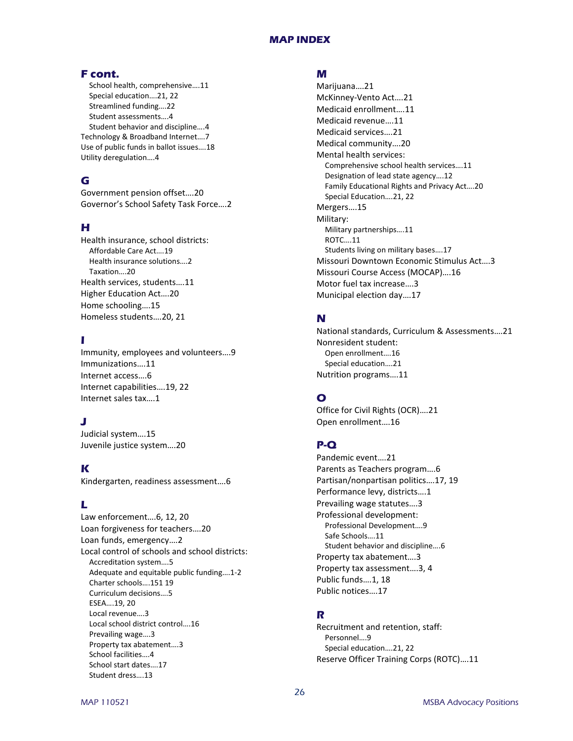#### **MAP INDEX**

#### **F cont.**

School health, comprehensive….11 Special education….21, 22 Streamlined funding….22 Student assessments….4 Student behavior and discipline….4 Technology & Broadband Internet….7 Use of public funds in ballot issues….18 Utility deregulation….4

#### **G**

Government pension offset….20 Governor's School Safety Task Force….2

#### **H**

Health insurance, school districts: Affordable Care Act….19 Health insurance solutions….2 Taxation….20 Health services, students….11 Higher Education Act….20 Home schooling….15 Homeless students….20, 21

# **I**

Immunity, employees and volunteers….9 Immunizations….11 Internet access….6 Internet capabilities….19, 22 Internet sales tax….1

# **J**

Judicial system….15 Juvenile justice system….20

# **K**

Kindergarten, readiness assessment….6

# **L**

Law enforcement….6, 12, 20 Loan forgiveness for teachers….20 Loan funds, emergency….2 Local control of schools and school districts: Accreditation system….5 Adequate and equitable public funding….1-2 Charter schools….151 19 Curriculum decisions….5 ESEA….19, 20 Local revenue….3 Local school district control….16 Prevailing wage….3 Property tax abatement….3 School facilities….4 School start dates….17 Student dress….13

#### **M**

Marijuana….21 McKinney-Vento Act….21 Medicaid enrollment….11 Medicaid revenue….11 Medicaid services….21 Medical community….20 Mental health services: Comprehensive school health services….11 Designation of lead state agency….12 Family Educational Rights and Privacy Act….20 Special Education….21, 22 Mergers….15 Military: Military partnerships….11 ROTC….11 Students living on military bases….17 Missouri Downtown Economic Stimulus Act….3 Missouri Course Access (MOCAP)….16 Motor fuel tax increase….3 Municipal election day….17

# **N**

National standards, Curriculum & Assessments….21 Nonresident student: Open enrollment….16 Special education….21 Nutrition programs….11

# **O**

Office for Civil Rights (OCR)….21 Open enrollment….16

# **P-Q**

Pandemic event….21 Parents as Teachers program….6 Partisan/nonpartisan politics….17, 19 Performance levy, districts….1 Prevailing wage statutes….3 Professional development: Professional Development….9 Safe Schools….11 Student behavior and discipline….6 Property tax abatement….3 Property tax assessment….3, 4 Public funds….1, 18 Public notices….17

# **R**

Recruitment and retention, staff: Personnel….9 Special education….21, 22 Reserve Officer Training Corps (ROTC)….11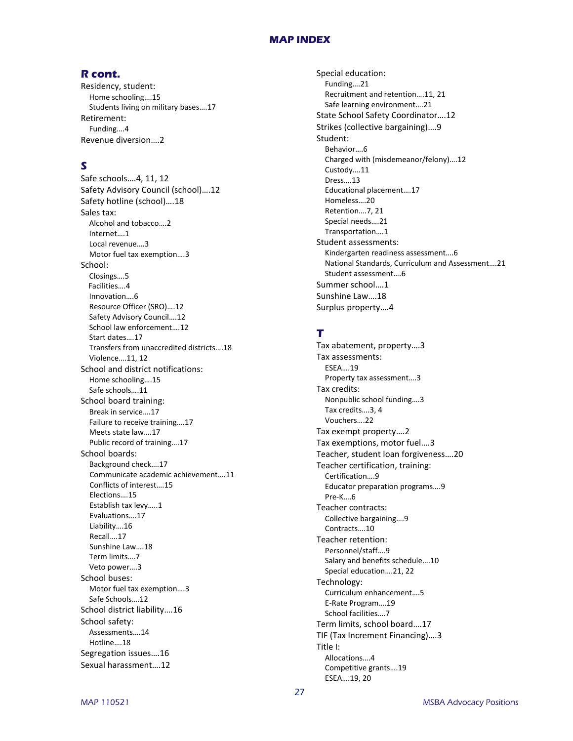#### **MAP INDEX**

#### **R cont.**

Residency, student: Home schooling….15 Students living on military bases….17 Retirement: Funding….4 Revenue diversion….2

### **S**

Safe schools….4, 11, 12 Safety Advisory Council (school)….12 Safety hotline (school)….18 Sales tax: Alcohol and tobacco….2 Internet….1 Local revenue….3 Motor fuel tax exemption….3 School: Closings….5 Facilities….4 Innovation….6 Resource Officer (SRO)….12 Safety Advisory Council….12 School law enforcement….12 Start dates….17 Transfers from unaccredited districts….18 Violence….11, 12 School and district notifications: Home schooling….15 Safe schools….11 School board training: Break in service….17 Failure to receive training….17 Meets state law….17 Public record of training….17 School boards: Background check….17 Communicate academic achievement….11 Conflicts of interest….15 Elections….15 Establish tax levy…..1 Evaluations….17 Liability….16 Recall….17 Sunshine Law….18 Term limits….7 Veto power….3 School buses: Motor fuel tax exemption….3 Safe Schools….12 School district liability….16 School safety: Assessments….14 Hotline….18 Segregation issues….16 Sexual harassment….12

Special education: Funding….21 Recruitment and retention….11, 21 Safe learning environment….21 State School Safety Coordinator….12 Strikes (collective bargaining)….9 Student: Behavior….6 Charged with (misdemeanor/felony)….12 Custody….11 Dress….13 Educational placement….17 Homeless….20 Retention….7, 21 Special needs….21 Transportation….1 Student assessments: Kindergarten readiness assessment….6 National Standards, Curriculum and Assessment….21 Student assessment….6 Summer school….1 Sunshine Law….18 Surplus property….4

# **T**

Tax abatement, property….3 Tax assessments: ESEA….19 Property tax assessment….3 Tax credits: Nonpublic school funding….3 Tax credits….3, 4 Vouchers….22 Tax exempt property….2 Tax exemptions, motor fuel….3 Teacher, student loan forgiveness….20 Teacher certification, training: Certification….9 Educator preparation programs….9 Pre-K….6 Teacher contracts: Collective bargaining….9 Contracts….10 Teacher retention: Personnel/staff….9 Salary and benefits schedule….10 Special education….21, 22 Technology: Curriculum enhancement….5 E-Rate Program….19 School facilities….7 Term limits, school board….17 TIF (Tax Increment Financing)….3 Title I: Allocations….4 Competitive grants….19 ESEA….19, 20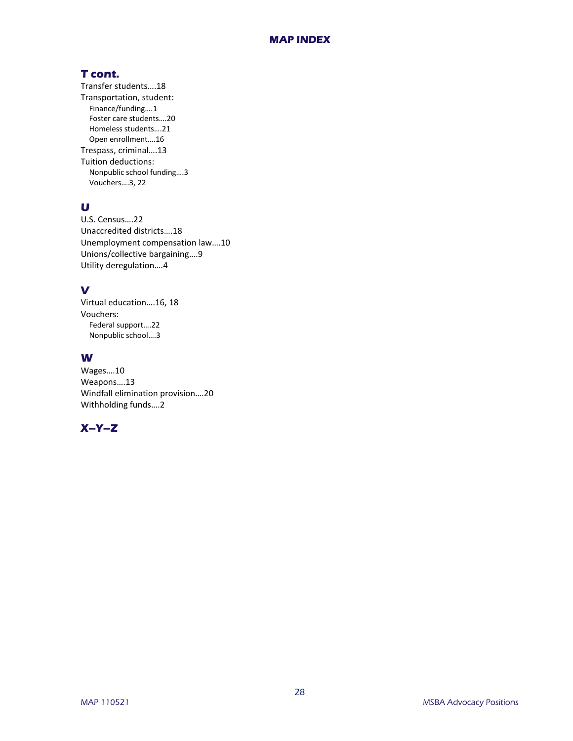# **T cont.**

Transfer students….18 Transportation, student: Finance/funding….1 Foster care students….20 Homeless students….21 Open enrollment….16 Trespass, criminal….13 Tuition deductions: Nonpublic school funding….3 Vouchers….3, 22

# **U**

U.S. Census….22 Unaccredited districts….18 Unemployment compensation law….10 Unions/collective bargaining….9 Utility deregulation….4

# **V**

Virtual education….16, 18 Vouchers: Federal support….22 Nonpublic school….3

# **W**

Wages….10 Weapons….13 Windfall elimination provision….20 Withholding funds….2

# **X–Y–Z**